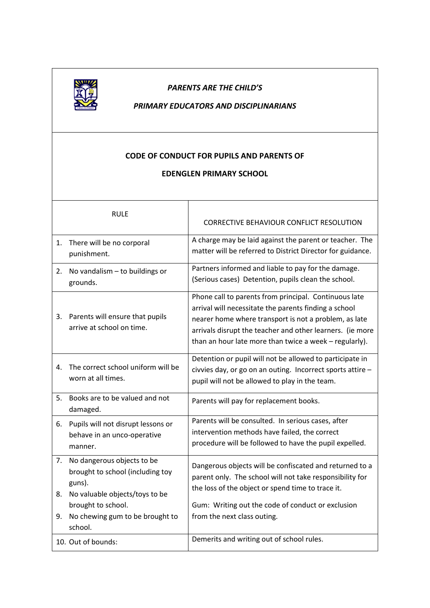

## *PARENTS ARE THE CHILD'S*

## *PRIMARY EDUCATORS AND DISCIPLINARIANS*

## **CODE OF CONDUCT FOR PUPILS AND PARENTS OF**

## **EDENGLEN PRIMARY SCHOOL**

|    | <b>RULE</b>                                                                                                   | <b>CORRECTIVE BEHAVIOUR CONFLICT RESOLUTION</b>                                                                                                                                                                                                                                                |
|----|---------------------------------------------------------------------------------------------------------------|------------------------------------------------------------------------------------------------------------------------------------------------------------------------------------------------------------------------------------------------------------------------------------------------|
| 1. | There will be no corporal<br>punishment.                                                                      | A charge may be laid against the parent or teacher. The<br>matter will be referred to District Director for guidance.                                                                                                                                                                          |
| 2. | No vandalism - to buildings or<br>grounds.                                                                    | Partners informed and liable to pay for the damage.<br>(Serious cases) Detention, pupils clean the school.                                                                                                                                                                                     |
| 3. | Parents will ensure that pupils<br>arrive at school on time.                                                  | Phone call to parents from principal. Continuous late<br>arrival will necessitate the parents finding a school<br>nearer home where transport is not a problem, as late<br>arrivals disrupt the teacher and other learners. (ie more<br>than an hour late more than twice a week - regularly). |
| 4. | The correct school uniform will be<br>worn at all times.                                                      | Detention or pupil will not be allowed to participate in<br>civvies day, or go on an outing. Incorrect sports attire -<br>pupil will not be allowed to play in the team.                                                                                                                       |
| 5. | Books are to be valued and not<br>damaged.                                                                    | Parents will pay for replacement books.                                                                                                                                                                                                                                                        |
| 6. | Pupils will not disrupt lessons or<br>behave in an unco-operative<br>manner.                                  | Parents will be consulted. In serious cases, after<br>intervention methods have failed, the correct<br>procedure will be followed to have the pupil expelled.                                                                                                                                  |
| 8. | 7. No dangerous objects to be<br>brought to school (including toy<br>guns).<br>No valuable objects/toys to be | Dangerous objects will be confiscated and returned to a<br>parent only. The school will not take responsibility for<br>the loss of the object or spend time to trace it.                                                                                                                       |
| 9. | brought to school.<br>No chewing gum to be brought to<br>school.                                              | Gum: Writing out the code of conduct or exclusion<br>from the next class outing.                                                                                                                                                                                                               |
|    | 10. Out of bounds:                                                                                            | Demerits and writing out of school rules.                                                                                                                                                                                                                                                      |